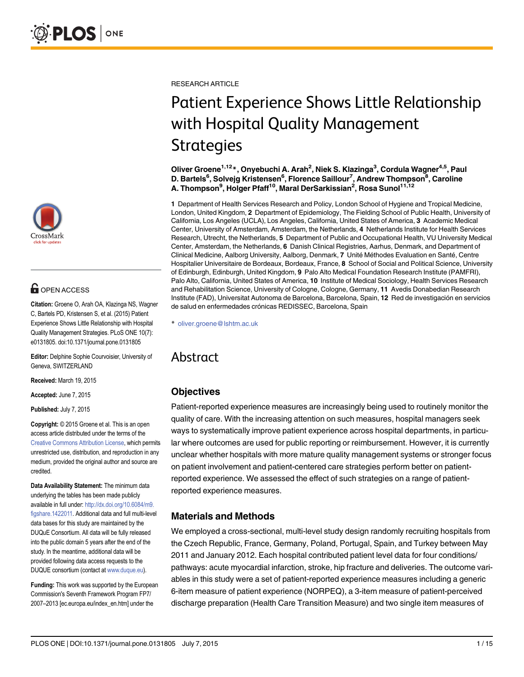

# **OPEN ACCESS**

Citation: Groene O, Arah OA, Klazinga NS, Wagner C, Bartels PD, Kristensen S, et al. (2015) Patient Experience Shows Little Relationship with Hospital Quality Management Strategies. PLoS ONE 10(7): e0131805. doi:10.1371/journal.pone.0131805

Editor: Delphine Sophie Courvoisier, University of Geneva, SWITZERLAND

Received: March 19, 2015

Accepted: June 7, 2015

Published: July 7, 2015

Copyright: © 2015 Groene et al. This is an open access article distributed under the terms of the [Creative Commons Attribution License,](http://creativecommons.org/licenses/by/4.0/) which permits unrestricted use, distribution, and reproduction in any medium, provided the original author and source are credited.

Data Availability Statement: The minimum data underlying the tables has been made publicly available in full under: [http://dx.doi.org/10.6084/m9.](http://dx.doi.org/10.6084/m9.figshare.1422011) [figshare.1422011.](http://dx.doi.org/10.6084/m9.figshare.1422011) Additional data and full multi-level data bases for this study are maintained by the DUQuE Consortium. All data will be fully released into the public domain 5 years after the end of the study. In the meantime, additional data will be provided following data access requests to the DUQUE consortium (contact at [www.duque.eu](http://www.duque.eu)).

Funding: This work was supported by the European Commission's Seventh Framework Program FP7/ 2007–2013 [ec.europa.eu/index\_en.htm] under the

RESEARCH ARTICLE

# Patient Experience Shows Little Relationship with Hospital Quality Management

Strategies Oliver Groene1,12\*, Onyebuchi A. Arah<sup>2</sup> , Niek S. Klazinga3 , Cordula Wagner4,5, Paul D. Bartels<sup>6</sup>, Solvejg Kristensen<sup>6</sup>, Florence Saillour<sup>7</sup>, Andrew Thompson<sup>8</sup>, Caroline A. Thompson<sup>9</sup>, Holger Pfaff<sup>10</sup>, Maral DerSarkissian<sup>2</sup>, Rosa Sunol<sup>11,12</sup>

1 Department of Health Services Research and Policy, London School of Hygiene and Tropical Medicine, London, United Kingdom, 2 Department of Epidemiology, The Fielding School of Public Health, University of California, Los Angeles (UCLA), Los Angeles, California, United States of America, 3 Academic Medical Center, University of Amsterdam, Amsterdam, the Netherlands, 4 Netherlands Institute for Health Services Research, Utrecht, the Netherlands, 5 Department of Public and Occupational Health, VU University Medical Center, Amsterdam, the Netherlands, 6 Danish Clinical Registries, Aarhus, Denmark, and Department of Clinical Medicine, Aalborg University, Aalborg, Denmark, 7 Unité Méthodes Evaluation en Santé, Centre Hospitalier Universitaire de Bordeaux, Bordeaux, France, 8 School of Social and Political Science, University of Edinburgh, Edinburgh, United Kingdom, 9 Palo Alto Medical Foundation Research Institute (PAMFRI), Palo Alto, California, United States of America, 10 Institute of Medical Sociology, Health Services Research and Rehabilitation Science, University of Cologne, Cologne, Germany, 11 Avedis Donabedian Research Institute (FAD), Universitat Autonoma de Barcelona, Barcelona, Spain, 12 Red de investigación en servicios de salud en enfermedades crónicas REDISSEC, Barcelona, Spain

\* oliver.groene@lshtm.ac.uk

# Abstract Abstract

# **Objectives**

Patient-reported experience measures are increasingly being used to routinely monitor the quality of care. With the increasing attention on such measures, hospital managers seek ways to systematically improve patient experience across hospital departments, in particular where outcomes are used for public reporting or reimbursement. However, it is currently unclear whether hospitals with more mature quality management systems or stronger focus on patient involvement and patient-centered care strategies perform better on patientreported experience. We assessed the effect of such strategies on a range of patientreported experience measures.

# Materials and Methods

We employed a cross-sectional, multi-level study design randomly recruiting hospitals from the Czech Republic, France, Germany, Poland, Portugal, Spain, and Turkey between May 2011 and January 2012. Each hospital contributed patient level data for four conditions/ pathways: acute myocardial infarction, stroke, hip fracture and deliveries. The outcome variables in this study were a set of patient-reported experience measures including a generic 6-item measure of patient experience (NORPEQ), a 3-item measure of patient-perceived discharge preparation (Health Care Transition Measure) and two single item measures of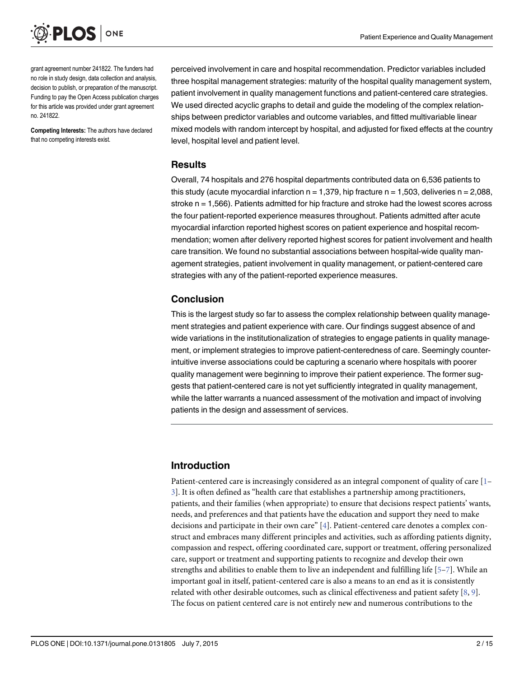<span id="page-1-0"></span>

grant agreement number 241822. The funders had no role in study design, data collection and analysis, decision to publish, or preparation of the manuscript. Funding to pay the Open Access publication charges for this article was provided under grant agreement no. 241822.

Competing Interests: The authors have declared that no competing interests exist.

perceived involvement in care and hospital recommendation. Predictor variables included three hospital management strategies: maturity of the hospital quality management system, patient involvement in quality management functions and patient-centered care strategies. We used directed acyclic graphs to detail and guide the modeling of the complex relationships between predictor variables and outcome variables, and fitted multivariable linear mixed models with random intercept by hospital, and adjusted for fixed effects at the country level, hospital level and patient level.

## Results

Overall, 74 hospitals and 276 hospital departments contributed data on 6,536 patients to this study (acute myocardial infarction  $n = 1,379$ , hip fracture  $n = 1,503$ , deliveries  $n = 2,088$ , stroke n = 1,566). Patients admitted for hip fracture and stroke had the lowest scores across the four patient-reported experience measures throughout. Patients admitted after acute myocardial infarction reported highest scores on patient experience and hospital recommendation; women after delivery reported highest scores for patient involvement and health care transition. We found no substantial associations between hospital-wide quality management strategies, patient involvement in quality management, or patient-centered care strategies with any of the patient-reported experience measures.

# Conclusion

This is the largest study so far to assess the complex relationship between quality management strategies and patient experience with care. Our findings suggest absence of and wide variations in the institutionalization of strategies to engage patients in quality management, or implement strategies to improve patient-centeredness of care. Seemingly counterintuitive inverse associations could be capturing a scenario where hospitals with poorer quality management were beginning to improve their patient experience. The former suggests that patient-centered care is not yet sufficiently integrated in quality management, while the latter warrants a nuanced assessment of the motivation and impact of involving patients in the design and assessment of services.

# Introduction

Patient-centered care is increasingly considered as an integral component of quality of care [[1](#page-12-0)– [3\]](#page-12-0). It is often defined as "health care that establishes a partnership among practitioners, patients, and their families (when appropriate) to ensure that decisions respect patients' wants, needs, and preferences and that patients have the education and support they need to make decisions and participate in their own care" [\[4\]](#page-12-0). Patient-centered care denotes a complex construct and embraces many different principles and activities, such as affording patients dignity, compassion and respect, offering coordinated care, support or treatment, offering personalized care, support or treatment and supporting patients to recognize and develop their own strengths and abilities to enable them to live an independent and fulfilling life [\[5](#page-12-0)–[7\]](#page-12-0). While an important goal in itself, patient-centered care is also a means to an end as it is consistently related with other desirable outcomes, such as clinical effectiveness and patient safety  $[8, 9]$  $[8, 9]$  $[8, 9]$  $[8, 9]$ . The focus on patient centered care is not entirely new and numerous contributions to the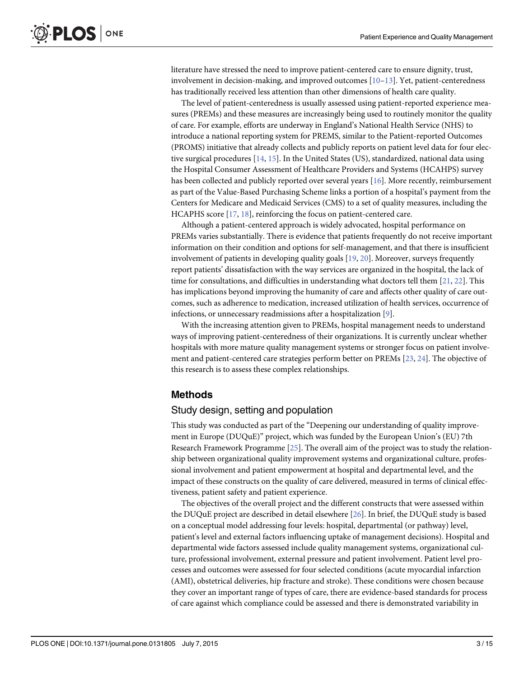<span id="page-2-0"></span>literature have stressed the need to improve patient-centered care to ensure dignity, trust, involvement in decision-making, and improved outcomes  $[10-13]$  $[10-13]$  $[10-13]$  $[10-13]$  $[10-13]$ . Yet, patient-centeredness has traditionally received less attention than other dimensions of health care quality.

The level of patient-centeredness is usually assessed using patient-reported experience measures (PREMs) and these measures are increasingly being used to routinely monitor the quality of care. For example, efforts are underway in England's National Health Service (NHS) to introduce a national reporting system for PREMS, similar to the Patient-reported Outcomes (PROMS) initiative that already collects and publicly reports on patient level data for four elective surgical procedures  $[14, 15]$  $[14, 15]$  $[14, 15]$ . In the United States (US), standardized, national data using the Hospital Consumer Assessment of Healthcare Providers and Systems (HCAHPS) survey has been collected and publicly reported over several years [\[16\]](#page-12-0). More recently, reimbursement as part of the Value-Based Purchasing Scheme links a portion of a hospital's payment from the Centers for Medicare and Medicaid Services (CMS) to a set of quality measures, including the HCAPHS score [\[17](#page-12-0), [18](#page-13-0)], reinforcing the focus on patient-centered care.

Although a patient-centered approach is widely advocated, hospital performance on PREMs varies substantially. There is evidence that patients frequently do not receive important information on their condition and options for self-management, and that there is insufficient involvement of patients in developing quality goals  $[19, 20]$  $[19, 20]$  $[19, 20]$  $[19, 20]$ . Moreover, surveys frequently report patients' dissatisfaction with the way services are organized in the hospital, the lack of time for consultations, and difficulties in understanding what doctors tell them  $[21, 22]$  $[21, 22]$  $[21, 22]$ . This has implications beyond improving the humanity of care and affects other quality of care outcomes, such as adherence to medication, increased utilization of health services, occurrence of infections, or unnecessary readmissions after a hospitalization [[9\]](#page-12-0).

With the increasing attention given to PREMs, hospital management needs to understand ways of improving patient-centeredness of their organizations. It is currently unclear whether hospitals with more mature quality management systems or stronger focus on patient involvement and patient-centered care strategies perform better on PREMs [[23](#page-13-0), [24](#page-13-0)]. The objective of this research is to assess these complex relationships.

# Methods

#### Study design, setting and population

This study was conducted as part of the "Deepening our understanding of quality improvement in Europe (DUQuE)" project, which was funded by the European Union's (EU) 7th Research Framework Programme [[25](#page-13-0)]. The overall aim of the project was to study the relationship between organizational quality improvement systems and organizational culture, professional involvement and patient empowerment at hospital and departmental level, and the impact of these constructs on the quality of care delivered, measured in terms of clinical effectiveness, patient safety and patient experience.

The objectives of the overall project and the different constructs that were assessed within the DUQuE project are described in detail elsewhere [[26](#page-13-0)]. In brief, the DUQuE study is based on a conceptual model addressing four levels: hospital, departmental (or pathway) level, patient's level and external factors influencing uptake of management decisions). Hospital and departmental wide factors assessed include quality management systems, organizational culture, professional involvement, external pressure and patient involvement. Patient level processes and outcomes were assessed for four selected conditions (acute myocardial infarction (AMI), obstetrical deliveries, hip fracture and stroke). These conditions were chosen because they cover an important range of types of care, there are evidence-based standards for process of care against which compliance could be assessed and there is demonstrated variability in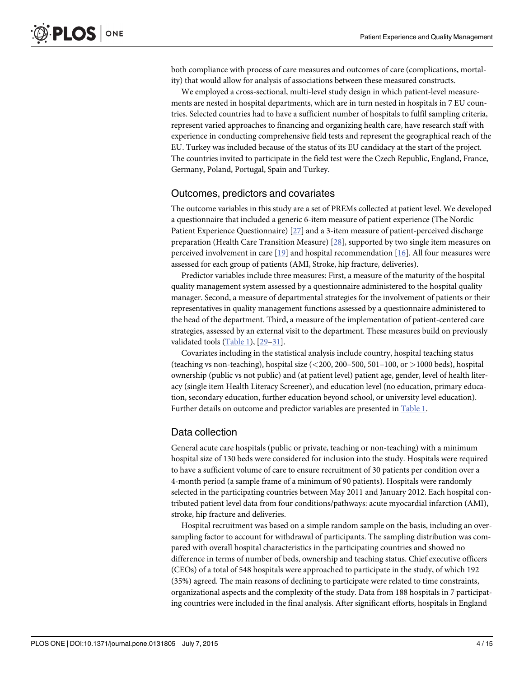<span id="page-3-0"></span>both compliance with process of care measures and outcomes of care (complications, mortality) that would allow for analysis of associations between these measured constructs.

We employed a cross-sectional, multi-level study design in which patient-level measurements are nested in hospital departments, which are in turn nested in hospitals in 7 EU countries. Selected countries had to have a sufficient number of hospitals to fulfil sampling criteria, represent varied approaches to financing and organizing health care, have research staff with experience in conducting comprehensive field tests and represent the geographical reach of the EU. Turkey was included because of the status of its EU candidacy at the start of the project. The countries invited to participate in the field test were the Czech Republic, England, France, Germany, Poland, Portugal, Spain and Turkey.

## Outcomes, predictors and covariates

The outcome variables in this study are a set of PREMs collected at patient level. We developed a questionnaire that included a generic 6-item measure of patient experience (The Nordic Patient Experience Questionnaire) [\[27\]](#page-13-0) and a 3-item measure of patient-perceived discharge preparation (Health Care Transition Measure) [[28](#page-13-0)], supported by two single item measures on perceived involvement in care  $[19]$  and hospital recommendation  $[16]$  $[16]$  $[16]$ . All four measures were assessed for each group of patients (AMI, Stroke, hip fracture, deliveries).

Predictor variables include three measures: First, a measure of the maturity of the hospital quality management system assessed by a questionnaire administered to the hospital quality manager. Second, a measure of departmental strategies for the involvement of patients or their representatives in quality management functions assessed by a questionnaire administered to the head of the department. Third, a measure of the implementation of patient-centered care strategies, assessed by an external visit to the department. These measures build on previously validated tools [\(Table 1](#page-4-0)), [[29](#page-13-0)–[31\]](#page-13-0).

Covariates including in the statistical analysis include country, hospital teaching status (teaching vs non-teaching), hospital size  $\left( \langle 200, 200 - 500, 501 - 100, 0 \right.$  or  $\geq 1000$  beds), hospital ownership (public vs not public) and (at patient level) patient age, gender, level of health literacy (single item Health Literacy Screener), and education level (no education, primary education, secondary education, further education beyond school, or university level education). Further details on outcome and predictor variables are presented in [Table 1.](#page-4-0)

# Data collection

General acute care hospitals (public or private, teaching or non-teaching) with a minimum hospital size of 130 beds were considered for inclusion into the study. Hospitals were required to have a sufficient volume of care to ensure recruitment of 30 patients per condition over a 4-month period (a sample frame of a minimum of 90 patients). Hospitals were randomly selected in the participating countries between May 2011 and January 2012. Each hospital contributed patient level data from four conditions/pathways: acute myocardial infarction (AMI), stroke, hip fracture and deliveries.

Hospital recruitment was based on a simple random sample on the basis, including an oversampling factor to account for withdrawal of participants. The sampling distribution was compared with overall hospital characteristics in the participating countries and showed no difference in terms of number of beds, ownership and teaching status. Chief executive officers (CEOs) of a total of 548 hospitals were approached to participate in the study, of which 192 (35%) agreed. The main reasons of declining to participate were related to time constraints, organizational aspects and the complexity of the study. Data from 188 hospitals in 7 participating countries were included in the final analysis. After significant efforts, hospitals in England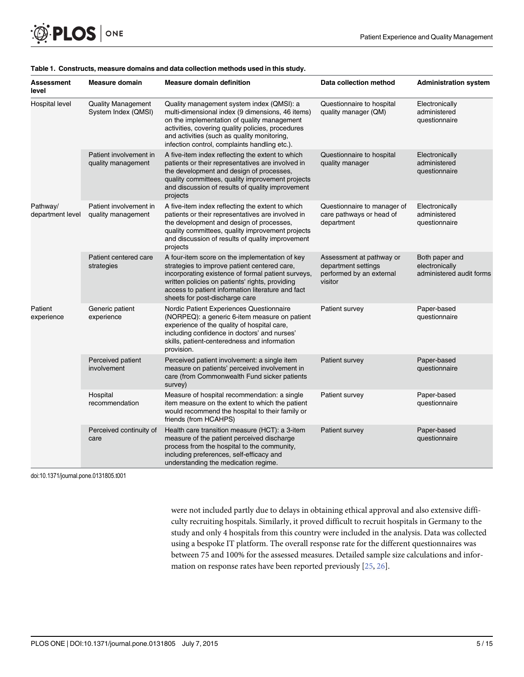<span id="page-4-0"></span>

| <b>Assessment</b><br>level   | <b>Measure domain</b>                            | <b>Measure domain definition</b>                                                                                                                                                                                                                                                                  | Data collection method                                                                 | <b>Administration system</b>                                 |
|------------------------------|--------------------------------------------------|---------------------------------------------------------------------------------------------------------------------------------------------------------------------------------------------------------------------------------------------------------------------------------------------------|----------------------------------------------------------------------------------------|--------------------------------------------------------------|
| <b>Hospital level</b>        | <b>Quality Management</b><br>System Index (QMSI) | Quality management system index (QMSI): a<br>multi-dimensional index (9 dimensions, 46 items)<br>on the implementation of quality management<br>activities, covering quality policies, procedures<br>and activities (such as quality monitoring,<br>infection control, complaints handling etc.). | Questionnaire to hospital<br>quality manager (QM)                                      | Electronically<br>administered<br>questionnaire              |
|                              | Patient involvement in<br>quality management     | A five-item index reflecting the extent to which<br>patients or their representatives are involved in<br>the development and design of processes,<br>quality committees, quality improvement projects<br>and discussion of results of quality improvement<br>projects                             | Questionnaire to hospital<br>quality manager                                           | Electronically<br>administered<br>questionnaire              |
| Pathway/<br>department level | Patient involvement in<br>quality management     | A five-item index reflecting the extent to which<br>patients or their representatives are involved in<br>the development and design of processes,<br>quality committees, quality improvement projects<br>and discussion of results of quality improvement<br>projects                             | Questionnaire to manager of<br>care pathways or head of<br>department                  | Electronically<br>administered<br>questionnaire              |
|                              | Patient centered care<br>strategies              | A four-item score on the implementation of key<br>strategies to improve patient centered care,<br>incorporating existence of formal patient surveys,<br>written policies on patients' rights, providing<br>access to patient information literature and fact<br>sheets for post-discharge care    | Assessment at pathway or<br>department settings<br>performed by an external<br>visitor | Both paper and<br>electronically<br>administered audit forms |
| Patient<br>experience        | Generic patient<br>experience                    | Nordic Patient Experiences Questionnaire<br>(NORPEQ): a generic 6-item measure on patient<br>experience of the quality of hospital care,<br>including confidence in doctors' and nurses'<br>skills, patient-centeredness and information<br>provision.                                            | Patient survey                                                                         | Paper-based<br>questionnaire                                 |
|                              | Perceived patient<br>involvement                 | Perceived patient involvement: a single item<br>measure on patients' perceived involvement in<br>care (from Commonwealth Fund sicker patients<br>survey)                                                                                                                                          | Patient survey                                                                         | Paper-based<br>questionnaire                                 |
|                              | Hospital<br>recommendation                       | Measure of hospital recommendation: a single<br>item measure on the extent to which the patient<br>would recommend the hospital to their family or<br>friends (from HCAHPS)                                                                                                                       | Patient survey                                                                         | Paper-based<br>questionnaire                                 |
|                              | Perceived continuity of<br>care                  | Health care transition measure (HCT): a 3-item<br>measure of the patient perceived discharge<br>process from the hospital to the community,<br>including preferences, self-efficacy and<br>understanding the medication regime.                                                                   | Patient survey                                                                         | Paper-based<br>questionnaire                                 |

#### [Table 1.](#page-3-0) Constructs, measure domains and data collection methods used in this study.

doi:10.1371/journal.pone.0131805.t001

were not included partly due to delays in obtaining ethical approval and also extensive difficulty recruiting hospitals. Similarly, it proved difficult to recruit hospitals in Germany to the study and only 4 hospitals from this country were included in the analysis. Data was collected using a bespoke IT platform. The overall response rate for the different questionnaires was between 75 and 100% for the assessed measures. Detailed sample size calculations and information on response rates have been reported previously [\[25,](#page-13-0) [26\]](#page-13-0).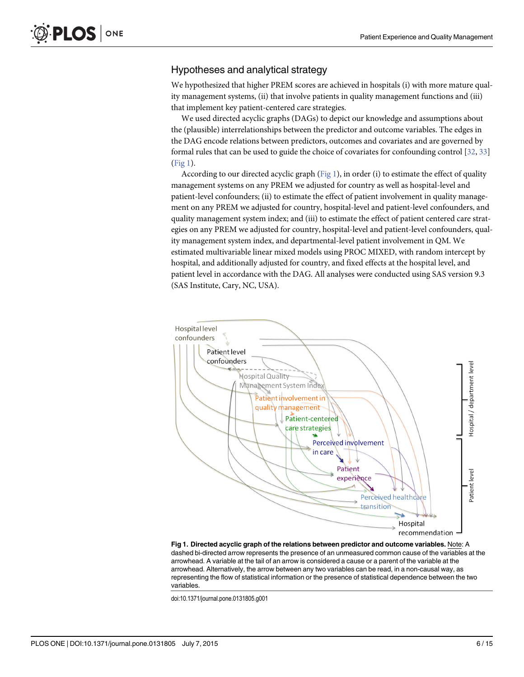# <span id="page-5-0"></span>Hypotheses and analytical strategy

We hypothesized that higher PREM scores are achieved in hospitals (i) with more mature quality management systems, (ii) that involve patients in quality management functions and (iii) that implement key patient-centered care strategies.

We used directed acyclic graphs (DAGs) to depict our knowledge and assumptions about the (plausible) interrelationships between the predictor and outcome variables. The edges in the DAG encode relations between predictors, outcomes and covariates and are governed by formal rules that can be used to guide the choice of covariates for confounding control [[32,](#page-13-0) [33\]](#page-13-0)  $(Fig 1)$ .

According to our directed acyclic graph  $(Fig_1)$ , in order (i) to estimate the effect of quality management systems on any PREM we adjusted for country as well as hospital-level and patient-level confounders; (ii) to estimate the effect of patient involvement in quality management on any PREM we adjusted for country, hospital-level and patient-level confounders, and quality management system index; and (iii) to estimate the effect of patient centered care strategies on any PREM we adjusted for country, hospital-level and patient-level confounders, quality management system index, and departmental-level patient involvement in QM. We estimated multivariable linear mixed models using PROC MIXED, with random intercept by hospital, and additionally adjusted for country, and fixed effects at the hospital level, and patient level in accordance with the DAG. All analyses were conducted using SAS version 9.3 (SAS Institute, Cary, NC, USA).



Fig 1. Directed acyclic graph of the relations between predictor and outcome variables. Note: A dashed bi-directed arrow represents the presence of an unmeasured common cause of the variables at the arrowhead. A variable at the tail of an arrow is considered a cause or a parent of the variable at the arrowhead. Alternatively, the arrow between any two variables can be read, in a non-causal way, as representing the flow of statistical information or the presence of statistical dependence between the two variables.

doi:10.1371/journal.pone.0131805.g001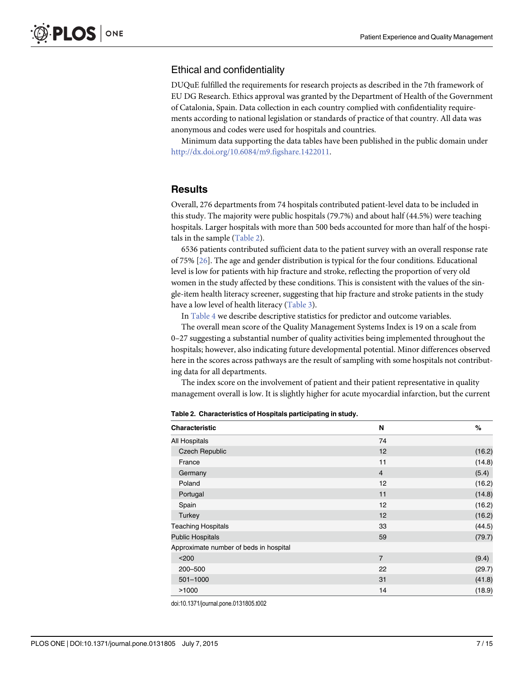# <span id="page-6-0"></span>Ethical and confidentiality

DUQuE fulfilled the requirements for research projects as described in the 7th framework of EU DG Research. Ethics approval was granted by the Department of Health of the Government of Catalonia, Spain. Data collection in each country complied with confidentiality requirements according to national legislation or standards of practice of that country. All data was anonymous and codes were used for hospitals and countries.

Minimum data supporting the data tables have been published in the public domain under <http://dx.doi.org/10.6084/m9.figshare.1422011>.

## **Results**

Overall, 276 departments from 74 hospitals contributed patient-level data to be included in this study. The majority were public hospitals (79.7%) and about half (44.5%) were teaching hospitals. Larger hospitals with more than 500 beds accounted for more than half of the hospitals in the sample  $(Table 2)$ .

6536 patients contributed sufficient data to the patient survey with an overall response rate of 75% [[26](#page-13-0)]. The age and gender distribution is typical for the four conditions. Educational level is low for patients with hip fracture and stroke, reflecting the proportion of very old women in the study affected by these conditions. This is consistent with the values of the single-item health literacy screener, suggesting that hip fracture and stroke patients in the study have a low level of health literacy ([Table 3\)](#page-7-0).

In [Table 4](#page-7-0) we describe descriptive statistics for predictor and outcome variables.

The overall mean score of the Quality Management Systems Index is 19 on a scale from 0–27 suggesting a substantial number of quality activities being implemented throughout the hospitals; however, also indicating future developmental potential. Minor differences observed here in the scores across pathways are the result of sampling with some hospitals not contributing data for all departments.

The index score on the involvement of patient and their patient representative in quality management overall is low. It is slightly higher for acute myocardial infarction, but the current

| <b>Characteristic</b>                  | N              | %      |  |
|----------------------------------------|----------------|--------|--|
| <b>All Hospitals</b>                   | 74             |        |  |
| <b>Czech Republic</b>                  | 12             | (16.2) |  |
| France                                 | 11             | (14.8) |  |
| Germany                                | $\overline{4}$ | (5.4)  |  |
| Poland                                 | 12             | (16.2) |  |
| Portugal                               | 11             | (14.8) |  |
| Spain                                  | 12             | (16.2) |  |
| Turkey                                 | 12             | (16.2) |  |
| <b>Teaching Hospitals</b>              | 33             | (44.5) |  |
| <b>Public Hospitals</b>                | 59             | (79.7) |  |
| Approximate number of beds in hospital |                |        |  |
| $200$                                  | $\overline{7}$ | (9.4)  |  |
| 200-500                                | 22             | (29.7) |  |
| 501-1000                               | 31             | (41.8) |  |
| >1000                                  | 14             | (18.9) |  |

Table 2. Characteristics of Hospitals participating in study.

doi:10.1371/journal.pone.0131805.t002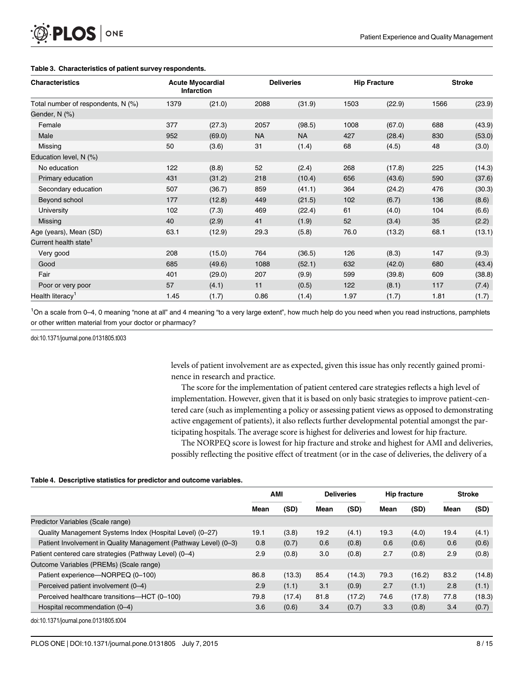<span id="page-7-0"></span>

| <b>O. PLOS</b> ONE |  |
|--------------------|--|
|--------------------|--|

| <b>Characteristics</b>             | <b>Acute Myocardial</b><br><b>Infarction</b> |        | <b>Deliveries</b> |           | <b>Hip Fracture</b> |        | <b>Stroke</b> |        |
|------------------------------------|----------------------------------------------|--------|-------------------|-----------|---------------------|--------|---------------|--------|
| Total number of respondents, N (%) | 1379                                         | (21.0) | 2088              | (31.9)    | 1503                | (22.9) | 1566          | (23.9) |
| Gender, N (%)                      |                                              |        |                   |           |                     |        |               |        |
| Female                             | 377                                          | (27.3) | 2057              | (98.5)    | 1008                | (67.0) | 688           | (43.9) |
| Male                               | 952                                          | (69.0) | <b>NA</b>         | <b>NA</b> | 427                 | (28.4) | 830           | (53.0) |
| Missing                            | 50                                           | (3.6)  | 31                | (1.4)     | 68                  | (4.5)  | 48            | (3.0)  |
| Education level, N (%)             |                                              |        |                   |           |                     |        |               |        |
| No education                       | 122                                          | (8.8)  | 52                | (2.4)     | 268                 | (17.8) | 225           | (14.3) |
| Primary education                  | 431                                          | (31.2) | 218               | (10.4)    | 656                 | (43.6) | 590           | (37.6) |
| Secondary education                | 507                                          | (36.7) | 859               | (41.1)    | 364                 | (24.2) | 476           | (30.3) |
| Beyond school                      | 177                                          | (12.8) | 449               | (21.5)    | 102                 | (6.7)  | 136           | (8.6)  |
| University                         | 102                                          | (7.3)  | 469               | (22.4)    | 61                  | (4.0)  | 104           | (6.6)  |
| Missing                            | 40                                           | (2.9)  | 41                | (1.9)     | 52                  | (3.4)  | 35            | (2.2)  |
| Age (years), Mean (SD)             | 63.1                                         | (12.9) | 29.3              | (5.8)     | 76.0                | (13.2) | 68.1          | (13.1) |
| Current health state <sup>1</sup>  |                                              |        |                   |           |                     |        |               |        |
| Very good                          | 208                                          | (15.0) | 764               | (36.5)    | 126                 | (8.3)  | 147           | (9.3)  |
| Good                               | 685                                          | (49.6) | 1088              | (52.1)    | 632                 | (42.0) | 680           | (43.4) |
| Fair                               | 401                                          | (29.0) | 207               | (9.9)     | 599                 | (39.8) | 609           | (38.8) |
| Poor or very poor                  | 57                                           | (4.1)  | 11                | (0.5)     | 122                 | (8.1)  | 117           | (7.4)  |
| Health literacy <sup>1</sup>       | 1.45                                         | (1.7)  | 0.86              | (1.4)     | 1.97                | (1.7)  | 1.81          | (1.7)  |

<sup>1</sup>On a scale from 0–4, 0 meaning "none at all" and 4 meaning "to a very large extent", how much help do you need when you read instructions, pamphlets or other written material from your doctor or pharmacy?

doi:10.1371/journal.pone.0131805.t003

levels of patient involvement are as expected, given this issue has only recently gained prominence in research and practice.

The score for the implementation of patient centered care strategies reflects a high level of implementation. However, given that it is based on only basic strategies to improve patient-centered care (such as implementing a policy or assessing patient views as opposed to demonstrating active engagement of patients), it also reflects further developmental potential amongst the participating hospitals. The average score is highest for deliveries and lowest for hip fracture.

The NORPEQ score is lowest for hip fracture and stroke and highest for AMI and deliveries, possibly reflecting the positive effect of treatment (or in the case of deliveries, the delivery of a

#### [Table 4.](#page-6-0) Descriptive statistics for predictor and outcome variables.

|                                                                 | <b>AMI</b> |        | <b>Deliveries</b> |        | <b>Hip fracture</b> |        | <b>Stroke</b> |        |
|-----------------------------------------------------------------|------------|--------|-------------------|--------|---------------------|--------|---------------|--------|
|                                                                 | Mean       | (SD)   | Mean              | (SD)   | Mean                | (SD)   | Mean          | (SD)   |
| Predictor Variables (Scale range)                               |            |        |                   |        |                     |        |               |        |
| Quality Management Systems Index (Hospital Level) (0-27)        |            | (3.8)  | 19.2              | (4.1)  | 19.3                | (4.0)  | 19.4          | (4.1)  |
| Patient Involvement in Quality Management (Pathway Level) (0-3) | 0.8        | (0.7)  | 0.6               | (0.8)  | 0.6                 | (0.6)  | 0.6           | (0.6)  |
| Patient centered care strategies (Pathway Level) (0-4)          |            | (0.8)  | 3.0               | (0.8)  | 2.7                 | (0.8)  | 2.9           | (0.8)  |
| Outcome Variables (PREMs) (Scale range)                         |            |        |                   |        |                     |        |               |        |
| Patient experience—NORPEQ (0-100)                               | 86.8       | (13.3) | 85.4              | (14.3) | 79.3                | (16.2) | 83.2          | (14.8) |
| Perceived patient involvement (0-4)                             | 2.9        | (1.1)  | 3.1               | (0.9)  | 2.7                 | (1.1)  | 2.8           | (1.1)  |
| Perceived healthcare transitions-HCT (0-100)                    | 79.8       | (17.4) | 81.8              | (17.2) | 74.6                | (17.8) | 77.8          | (18.3) |
| Hospital recommendation (0-4)                                   |            | (0.6)  | 3.4               | (0.7)  | 3.3                 | (0.8)  | 3.4           | (0.7)  |

doi:10.1371/journal.pone.0131805.t004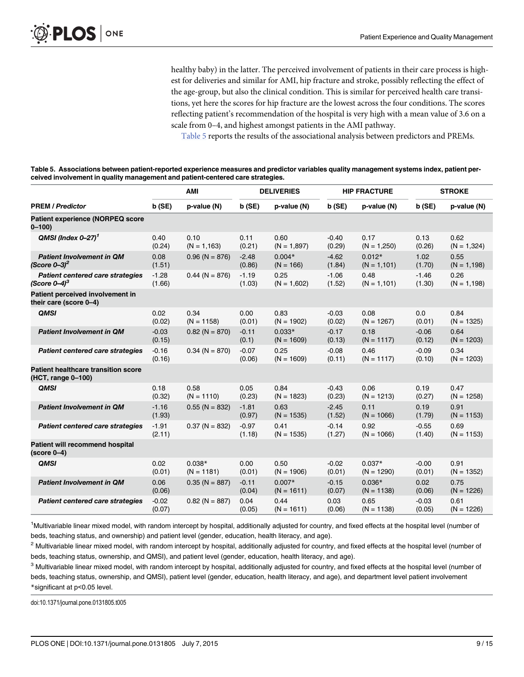healthy baby) in the latter. The perceived involvement of patients in their care process is highest for deliveries and similar for AMI, hip fracture and stroke, possibly reflecting the effect of the age-group, but also the clinical condition. This is similar for perceived health care transitions, yet here the scores for hip fracture are the lowest across the four conditions. The scores reflecting patient's recommendation of the hospital is very high with a mean value of 3.6 on a scale from 0–4, and highest amongst patients in the AMI pathway.

Table 5 reports the results of the associational analysis between predictors and PREMs.

Table 5. Associations between patient-reported experience measures and predictor variables quality management systems index, patient perceived involvement in quality management and patient-centered care strategies.

|                                                                   | AMI               |                          | <b>DELIVERIES</b> |                          |                   | <b>HIP FRACTURE</b>        |                   | <b>STROKE</b>          |  |
|-------------------------------------------------------------------|-------------------|--------------------------|-------------------|--------------------------|-------------------|----------------------------|-------------------|------------------------|--|
| <b>PREM / Predictor</b>                                           | b(SE)             | p-value (N)              | b(SE)             | p-value (N)              | b(SE)             | p-value (N)                | b(SE)             | p-value (N)            |  |
| <b>Patient experience (NORPEQ score</b><br>$0 - 100$              |                   |                          |                   |                          |                   |                            |                   |                        |  |
| QMSI (Index $0-27$ ) <sup>1</sup>                                 | 0.40<br>(0.24)    | 0.10<br>$(N = 1, 163)$   | 0.11<br>(0.21)    | 0.60<br>$(N = 1,897)$    | $-0.40$<br>(0.29) | 0.17<br>$(N = 1,250)$      | 0.13<br>(0.26)    | 0.62<br>$(N = 1,324)$  |  |
| <b>Patient Involvement in QM</b><br>(Score $0 - 3$ ) <sup>2</sup> | 0.08<br>(1.51)    | $0.96$ (N = 876)         | $-2.48$<br>(0.86) | $0.004*$<br>$(N = 166)$  | $-4.62$<br>(1.84) | $0.012*$<br>$(N = 1, 101)$ | 1.02<br>(1.70)    | 0.55<br>$(N = 1, 198)$ |  |
| Patient centered care strategies<br>(Score $0-4$ ) <sup>3</sup>   | $-1.28$<br>(1.66) | $0.44$ (N = 876)         | $-1.19$<br>(1.03) | 0.25<br>$(N = 1,602)$    | $-1.06$<br>(1.52) | 0.48<br>$(N = 1, 101)$     | $-1.46$<br>(1.30) | 0.26<br>$(N = 1, 198)$ |  |
| Patient perceived involvement in<br>their care (score 0-4)        |                   |                          |                   |                          |                   |                            |                   |                        |  |
| <b>QMSI</b>                                                       | 0.02<br>(0.02)    | 0.34<br>$(N = 1158)$     | 0.00<br>(0.01)    | 0.83<br>$(N = 1902)$     | $-0.03$<br>(0.02) | 0.08<br>$(N = 1267)$       | 0.0<br>(0.01)     | 0.84<br>$(N = 1325)$   |  |
| <b>Patient Involvement in QM</b>                                  | $-0.03$<br>(0.15) | $0.82$ (N = 870)         | $-0.11$<br>(0.1)  | $0.033*$<br>$(N = 1609)$ | $-0.17$<br>(0.13) | 0.18<br>$(N = 1117)$       | $-0.06$<br>(0.12) | 0.64<br>$(N = 1203)$   |  |
| Patient centered care strategies                                  | $-0.16$<br>(0.16) | $0.34$ (N = 870)         | $-0.07$<br>(0.06) | 0.25<br>$(N = 1609)$     | $-0.08$<br>(0.11) | 0.46<br>$(N = 1117)$       | $-0.09$<br>(0.10) | 0.34<br>$(N = 1203)$   |  |
| <b>Patient healthcare transition score</b><br>(HCT, range 0-100)  |                   |                          |                   |                          |                   |                            |                   |                        |  |
| <b>QMSI</b>                                                       | 0.18<br>(0.32)    | 0.58<br>$(N = 1110)$     | 0.05<br>(0.23)    | 0.84<br>$(N = 1823)$     | $-0.43$<br>(0.23) | 0.06<br>$(N = 1213)$       | 0.19<br>(0.27)    | 0.47<br>$(N = 1258)$   |  |
| <b>Patient Involvement in QM</b>                                  | $-1.16$<br>(1.93) | $0.55$ (N = 832)         | $-1.81$<br>(0.97) | 0.63<br>$(N = 1535)$     | $-2.45$<br>(1.52) | 0.11<br>$(N = 1066)$       | 0.19<br>(1.79)    | 0.91<br>$(N = 1153)$   |  |
| Patient centered care strategies                                  | $-1.91$<br>(2.11) | $0.37(N = 832)$          | $-0.97$<br>(1.18) | 0.41<br>$(N = 1535)$     | $-0.14$<br>(1.27) | 0.92<br>$(N = 1066)$       | $-0.55$<br>(1.40) | 0.69<br>$(N = 1153)$   |  |
| Patient will recommend hospital<br>$(score 0-4)$                  |                   |                          |                   |                          |                   |                            |                   |                        |  |
| <b>QMSI</b>                                                       | 0.02<br>(0.01)    | $0.038*$<br>$(N = 1181)$ | 0.00<br>(0.01)    | 0.50<br>$(N = 1906)$     | $-0.02$<br>(0.01) | $0.037*$<br>$(N = 1290)$   | $-0.00$<br>(0.01) | 0.91<br>$(N = 1352)$   |  |
| <b>Patient Involvement in QM</b>                                  | 0.06<br>(0.06)    | $0.35$ (N = 887)         | $-0.11$<br>(0.04) | $0.007*$<br>$(N = 1611)$ | $-0.15$<br>(0.07) | $0.036*$<br>$(N = 1138)$   | 0.02<br>(0.06)    | 0.75<br>$(N = 1226)$   |  |
| Patient centered care strategies                                  | $-0.02$<br>(0.07) | $0.82$ (N = 887)         | 0.04<br>(0.05)    | 0.44<br>$(N = 1611)$     | 0.03<br>(0.06)    | 0.65<br>$(N = 1138)$       | $-0.03$<br>(0.05) | 0.61<br>$(N = 1226)$   |  |

<sup>1</sup>Multivariable linear mixed model, with random intercept by hospital, additionally adjusted for country, and fixed effects at the hospital level (number of beds, teaching status, and ownership) and patient level (gender, education, health literacy, and age).

<sup>2</sup> Multivariable linear mixed model, with random intercept by hospital, additionally adjusted for country, and fixed effects at the hospital level (number of beds, teaching status, ownership, and QMSI), and patient level (gender, education, health literacy, and age).

<sup>3</sup> Multivariable linear mixed model, with random intercept by hospital, additionally adjusted for country, and fixed effects at the hospital level (number of beds, teaching status, ownership, and QMSI), patient level (gender, education, health literacy, and age), and department level patient involvement \*significant at p<0.05 level.

doi:10.1371/journal.pone.0131805.t005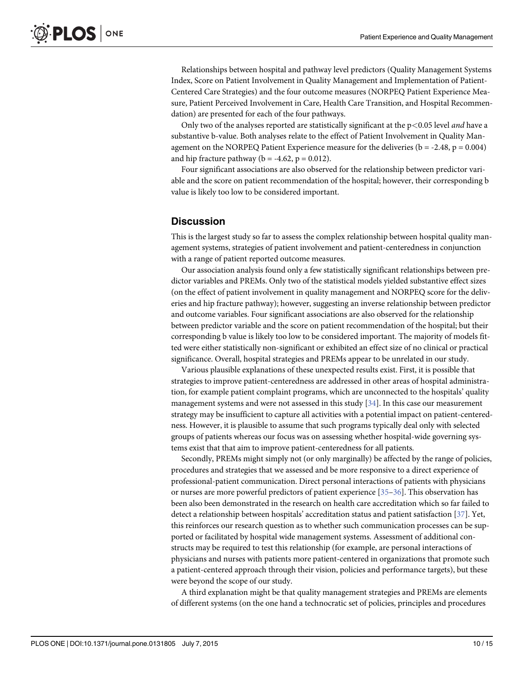<span id="page-9-0"></span>Relationships between hospital and pathway level predictors (Quality Management Systems Index, Score on Patient Involvement in Quality Management and Implementation of Patient-Centered Care Strategies) and the four outcome measures (NORPEQ Patient Experience Measure, Patient Perceived Involvement in Care, Health Care Transition, and Hospital Recommendation) are presented for each of the four pathways.

Only two of the analyses reported are statistically significant at the  $p<0.05$  level *and* have a substantive b-value. Both analyses relate to the effect of Patient Involvement in Quality Management on the NORPEQ Patient Experience measure for the deliveries ( $b = -2.48$ ,  $p = 0.004$ ) and hip fracture pathway ( $b = -4.62$ ,  $p = 0.012$ ).

Four significant associations are also observed for the relationship between predictor variable and the score on patient recommendation of the hospital; however, their corresponding b value is likely too low to be considered important.

# **Discussion**

This is the largest study so far to assess the complex relationship between hospital quality management systems, strategies of patient involvement and patient-centeredness in conjunction with a range of patient reported outcome measures.

Our association analysis found only a few statistically significant relationships between predictor variables and PREMs. Only two of the statistical models yielded substantive effect sizes (on the effect of patient involvement in quality management and NORPEQ score for the deliveries and hip fracture pathway); however, suggesting an inverse relationship between predictor and outcome variables. Four significant associations are also observed for the relationship between predictor variable and the score on patient recommendation of the hospital; but their corresponding b value is likely too low to be considered important. The majority of models fitted were either statistically non-significant or exhibited an effect size of no clinical or practical significance. Overall, hospital strategies and PREMs appear to be unrelated in our study.

Various plausible explanations of these unexpected results exist. First, it is possible that strategies to improve patient-centeredness are addressed in other areas of hospital administration, for example patient complaint programs, which are unconnected to the hospitals' quality management systems and were not assessed in this study  $[34]$  $[34]$ . In this case our measurement strategy may be insufficient to capture all activities with a potential impact on patient-centeredness. However, it is plausible to assume that such programs typically deal only with selected groups of patients whereas our focus was on assessing whether hospital-wide governing systems exist that that aim to improve patient-centeredness for all patients.

Secondly, PREMs might simply not (or only marginally) be affected by the range of policies, procedures and strategies that we assessed and be more responsive to a direct experience of professional-patient communication. Direct personal interactions of patients with physicians or nurses are more powerful predictors of patient experience [[35](#page-13-0)–[36](#page-13-0)]. This observation has been also been demonstrated in the research on health care accreditation which so far failed to detect a relationship between hospitals' accreditation status and patient satisfaction [[37](#page-13-0)]. Yet, this reinforces our research question as to whether such communication processes can be supported or facilitated by hospital wide management systems. Assessment of additional constructs may be required to test this relationship (for example, are personal interactions of physicians and nurses with patients more patient-centered in organizations that promote such a patient-centered approach through their vision, policies and performance targets), but these were beyond the scope of our study.

A third explanation might be that quality management strategies and PREMs are elements of different systems (on the one hand a technocratic set of policies, principles and procedures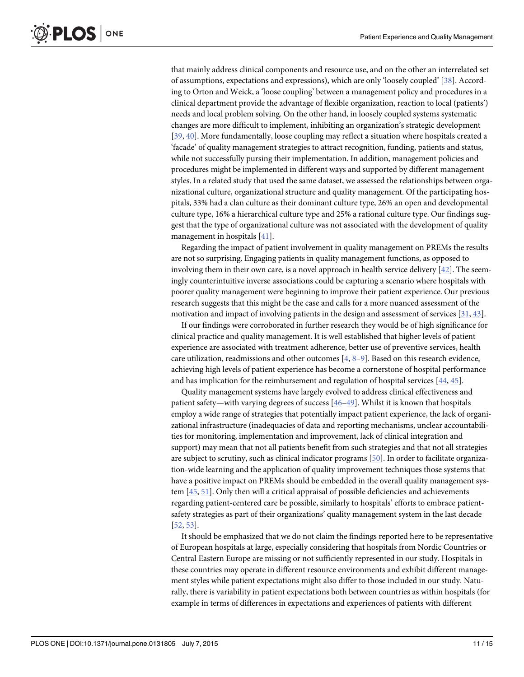<span id="page-10-0"></span>that mainly address clinical components and resource use, and on the other an interrelated set of assumptions, expectations and expressions), which are only 'loosely coupled' [[38](#page-14-0)]. According to Orton and Weick, a 'loose coupling' between a management policy and procedures in a clinical department provide the advantage of flexible organization, reaction to local (patients') needs and local problem solving. On the other hand, in loosely coupled systems systematic changes are more difficult to implement, inhibiting an organization's strategic development [\[39](#page-14-0), [40\]](#page-14-0). More fundamentally, loose coupling may reflect a situation where hospitals created a 'facade' of quality management strategies to attract recognition, funding, patients and status, while not successfully pursing their implementation. In addition, management policies and procedures might be implemented in different ways and supported by different management styles. In a related study that used the same dataset, we assessed the relationships between organizational culture, organizational structure and quality management. Of the participating hospitals, 33% had a clan culture as their dominant culture type, 26% an open and developmental culture type, 16% a hierarchical culture type and 25% a rational culture type. Our findings suggest that the type of organizational culture was not associated with the development of quality management in hospitals [\[41\]](#page-14-0).

Regarding the impact of patient involvement in quality management on PREMs the results are not so surprising. Engaging patients in quality management functions, as opposed to involving them in their own care, is a novel approach in health service delivery [[42](#page-14-0)]. The seemingly counterintuitive inverse associations could be capturing a scenario where hospitals with poorer quality management were beginning to improve their patient experience. Our previous research suggests that this might be the case and calls for a more nuanced assessment of the motivation and impact of involving patients in the design and assessment of services [[31](#page-13-0), [43](#page-14-0)].

If our findings were corroborated in further research they would be of high significance for clinical practice and quality management. It is well established that higher levels of patient experience are associated with treatment adherence, better use of preventive services, health care utilization, readmissions and other outcomes [\[4](#page-12-0), [8](#page-12-0)–[9](#page-12-0)]. Based on this research evidence, achieving high levels of patient experience has become a cornerstone of hospital performance and has implication for the reimbursement and regulation of hospital services [[44](#page-14-0), [45](#page-14-0)].

Quality management systems have largely evolved to address clinical effectiveness and patient safety—with varying degrees of success [\[46](#page-14-0)–[49](#page-14-0)]. Whilst it is known that hospitals employ a wide range of strategies that potentially impact patient experience, the lack of organizational infrastructure (inadequacies of data and reporting mechanisms, unclear accountabilities for monitoring, implementation and improvement, lack of clinical integration and support) may mean that not all patients benefit from such strategies and that not all strategies are subject to scrutiny, such as clinical indicator programs [[50](#page-14-0)]. In order to facilitate organization-wide learning and the application of quality improvement techniques those systems that have a positive impact on PREMs should be embedded in the overall quality management system [[45,](#page-14-0) [51\]](#page-14-0). Only then will a critical appraisal of possible deficiencies and achievements regarding patient-centered care be possible, similarly to hospitals' efforts to embrace patientsafety strategies as part of their organizations' quality management system in the last decade [\[52](#page-14-0), [53\]](#page-14-0).

It should be emphasized that we do not claim the findings reported here to be representative of European hospitals at large, especially considering that hospitals from Nordic Countries or Central Eastern Europe are missing or not sufficiently represented in our study. Hospitals in these countries may operate in different resource environments and exhibit different management styles while patient expectations might also differ to those included in our study. Naturally, there is variability in patient expectations both between countries as within hospitals (for example in terms of differences in expectations and experiences of patients with different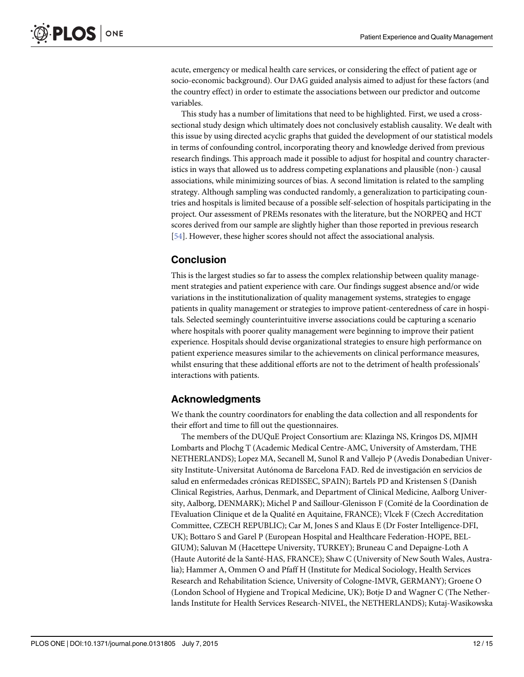<span id="page-11-0"></span>acute, emergency or medical health care services, or considering the effect of patient age or socio-economic background). Our DAG guided analysis aimed to adjust for these factors (and the country effect) in order to estimate the associations between our predictor and outcome variables.

This study has a number of limitations that need to be highlighted. First, we used a crosssectional study design which ultimately does not conclusively establish causality. We dealt with this issue by using directed acyclic graphs that guided the development of our statistical models in terms of confounding control, incorporating theory and knowledge derived from previous research findings. This approach made it possible to adjust for hospital and country characteristics in ways that allowed us to address competing explanations and plausible (non-) causal associations, while minimizing sources of bias. A second limitation is related to the sampling strategy. Although sampling was conducted randomly, a generalization to participating countries and hospitals is limited because of a possible self-selection of hospitals participating in the project. Our assessment of PREMs resonates with the literature, but the NORPEQ and HCT scores derived from our sample are slightly higher than those reported in previous research [\[54](#page-14-0)]. However, these higher scores should not affect the associational analysis.

# Conclusion

This is the largest studies so far to assess the complex relationship between quality management strategies and patient experience with care. Our findings suggest absence and/or wide variations in the institutionalization of quality management systems, strategies to engage patients in quality management or strategies to improve patient-centeredness of care in hospitals. Selected seemingly counterintuitive inverse associations could be capturing a scenario where hospitals with poorer quality management were beginning to improve their patient experience. Hospitals should devise organizational strategies to ensure high performance on patient experience measures similar to the achievements on clinical performance measures, whilst ensuring that these additional efforts are not to the detriment of health professionals' interactions with patients.

# Acknowledgments

We thank the country coordinators for enabling the data collection and all respondents for their effort and time to fill out the questionnaires.

The members of the DUQuE Project Consortium are: Klazinga NS, Kringos DS, MJMH Lombarts and Plochg T (Academic Medical Centre-AMC, University of Amsterdam, THE NETHERLANDS); Lopez MA, Secanell M, Sunol R and Vallejo P (Avedis Donabedian University Institute-Universitat Autónoma de Barcelona FAD. Red de investigación en servicios de salud en enfermedades crónicas REDISSEC, SPAIN); Bartels PD and Kristensen S (Danish Clinical Registries, Aarhus, Denmark, and Department of Clinical Medicine, Aalborg University, Aalborg, DENMARK); Michel P and Saillour-Glenisson F (Comité de la Coordination de l'Evaluation Clinique et de la Qualité en Aquitaine, FRANCE); Vlcek F (Czech Accreditation Committee, CZECH REPUBLIC); Car M, Jones S and Klaus E (Dr Foster Intelligence-DFI, UK); Bottaro S and Garel P (European Hospital and Healthcare Federation-HOPE, BEL-GIUM); Saluvan M (Hacettepe University, TURKEY); Bruneau C and Depaigne-Loth A (Haute Autorité de la Santé-HAS, FRANCE); Shaw C (University of New South Wales, Australia); Hammer A, Ommen O and Pfaff H (Institute for Medical Sociology, Health Services Research and Rehabilitation Science, University of Cologne-IMVR, GERMANY); Groene O (London School of Hygiene and Tropical Medicine, UK); Botje D and Wagner C (The Netherlands Institute for Health Services Research-NIVEL, the NETHERLANDS); Kutaj-Wasikowska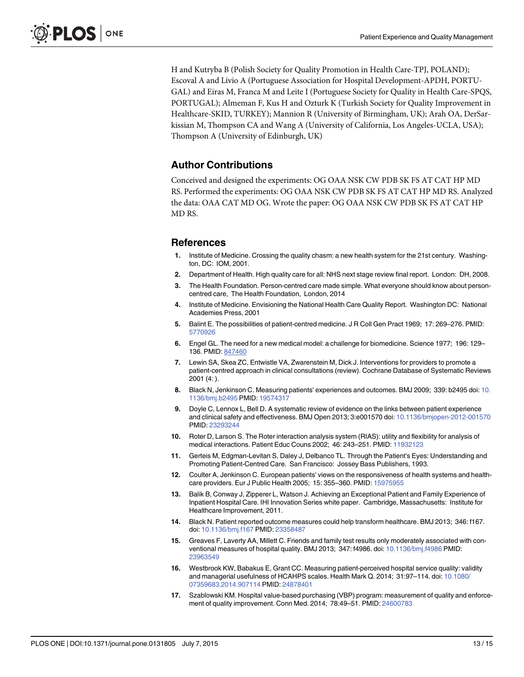<span id="page-12-0"></span>H and Kutryba B (Polish Society for Quality Promotion in Health Care-TPJ, POLAND); Escoval A and Lívio A (Portuguese Association for Hospital Development-APDH, PORTU-GAL) and Eiras M, Franca M and Leite I (Portuguese Society for Quality in Health Care-SPQS, PORTUGAL); Almeman F, Kus H and Ozturk K (Turkish Society for Quality Improvement in Healthcare-SKID, TURKEY); Mannion R (University of Birmingham, UK); Arah OA, DerSarkissian M, Thompson CA and Wang A (University of California, Los Angeles-UCLA, USA); Thompson A (University of Edinburgh, UK)

# Author Contributions

Conceived and designed the experiments: OG OAA NSK CW PDB SK FS AT CAT HP MD RS. Performed the experiments: OG OAA NSK CW PDB SK FS AT CAT HP MD RS. Analyzed the data: OAA CAT MD OG. Wrote the paper: OG OAA NSK CW PDB SK FS AT CAT HP MD RS.

#### References

- [1.](#page-1-0) Institute of Medicine. Crossing the quality chasm: a new health system for the 21st century. Washington, DC: IOM, 2001.
- 2. Department of Health. High quality care for all: NHS next stage review final report. London: DH, 2008.
- [3.](#page-1-0) The Health Foundation. Person-centred care made simple. What everyone should know about personcentred care, The Health Foundation, London, 2014
- [4.](#page-1-0) Institute of Medicine. Envisioning the National Health Care Quality Report. Washington DC: National Academies Press, 2001
- [5.](#page-1-0) Balint E. The possibilities of patient-centred medicine. J R Coll Gen Pract 1969; 17: 269–276. PMID: [5770926](http://www.ncbi.nlm.nih.gov/pubmed/5770926)
- 6. Engel GL. The need for a new medical model: a challenge for biomedicine. Science 1977; 196: 129– 136. PMID: [847460](http://www.ncbi.nlm.nih.gov/pubmed/847460)
- [7.](#page-1-0) Lewin SA, Skea ZC, Entwistle VA, Zwarenstein M, Dick J. Interventions for providers to promote a patient-centred approach in clinical consultations (review). Cochrane Database of Systematic Reviews 2001 (4: ).
- [8.](#page-1-0) Black N, Jenkinson C. Measuring patients' experiences and outcomes. BMJ 2009; 339: b2495 doi: [10.](http://dx.doi.org/10.1136/bmj.b2495) [1136/bmj.b2495](http://dx.doi.org/10.1136/bmj.b2495) PMID: [19574317](http://www.ncbi.nlm.nih.gov/pubmed/19574317)
- [9.](#page-1-0) Doyle C, Lennox L, Bell D. A systematic review of evidence on the links between patient experience and clinical safety and effectiveness. BMJ Open 2013; 3:e001570 doi: [10.1136/bmjopen-2012-001570](http://dx.doi.org/10.1136/bmjopen-2012-001570) PMID: [23293244](http://www.ncbi.nlm.nih.gov/pubmed/23293244)
- [10.](#page-2-0) Roter D, Larson S. The Roter interaction analysis system (RIAS): utility and flexibility for analysis of medical interactions. Patient Educ Couns 2002; 46: 243–251. PMID: [11932123](http://www.ncbi.nlm.nih.gov/pubmed/11932123)
- 11. Gerteis M, Edgman-Levitan S, Daley J, Delbanco TL. Through the Patient's Eyes: Understanding and Promoting Patient-Centred Care. San Francisco: Jossey Bass Publishers, 1993.
- 12. Coulter A, Jenkinson C. European patients' views on the responsiveness of health systems and healthcare providers. Eur J Public Health 2005; 15: 355–360. PMID: [15975955](http://www.ncbi.nlm.nih.gov/pubmed/15975955)
- [13.](#page-2-0) Balik B, Conway J, Zipperer L, Watson J. Achieving an Exceptional Patient and Family Experience of Inpatient Hospital Care. IHI Innovation Series white paper. Cambridge, Massachusetts: Institute for Healthcare Improvement, 2011.
- [14.](#page-2-0) Black N. Patient reported outcome measures could help transform healthcare. BMJ 2013; 346: f167. doi: [10.1136/bmj.f167](http://dx.doi.org/10.1136/bmj.f167) PMID: [23358487](http://www.ncbi.nlm.nih.gov/pubmed/23358487)
- [15.](#page-2-0) Greaves F, Laverty AA, Millett C. Friends and family test results only moderately associated with conventional measures of hospital quality. BMJ 2013; 347: f4986. doi: [10.1136/bmj.f4986](http://dx.doi.org/10.1136/bmj.f4986) PMID: [23963549](http://www.ncbi.nlm.nih.gov/pubmed/23963549)
- [16.](#page-2-0) Westbrook KW, Babakus E, Grant CC. Measuring patient-perceived hospital service quality: validity and managerial usefulness of HCAHPS scales. Health Mark Q. 2014; 31:97–114. doi: [10.1080/](http://dx.doi.org/10.1080/07359683.2014.907114) [07359683.2014.907114](http://dx.doi.org/10.1080/07359683.2014.907114) PMID: [24878401](http://www.ncbi.nlm.nih.gov/pubmed/24878401)
- [17.](#page-2-0) Szablowski KM. Hospital value-based purchasing (VBP) program: measurement of quality and enforcement of quality improvement. Conn Med. 2014; 78:49–51. PMID: [24600783](http://www.ncbi.nlm.nih.gov/pubmed/24600783)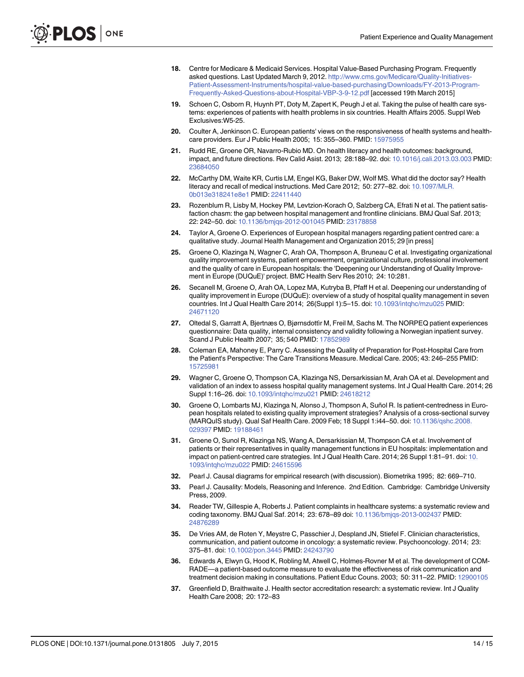- <span id="page-13-0"></span>[18.](#page-2-0) Centre for Medicare & Medicaid Services. Hospital Value-Based Purchasing Program. Frequently asked questions. Last Updated March 9, 2012. [http://www.cms.gov/Medicare/Quality-Initiatives-](http://www.cms.gov/Medicare/Quality-Initiatives-Patient-Assessment-Instruments/hospital-value-based-purchasing/Downloads/FY-2013-Program-Frequently-Asked-Questions-about-Hospital-VBP-3-9-12.pdf)[Patient-Assessment-Instruments/hospital-value-based-purchasing/Downloads/FY-2013-Program-](http://www.cms.gov/Medicare/Quality-Initiatives-Patient-Assessment-Instruments/hospital-value-based-purchasing/Downloads/FY-2013-Program-Frequently-Asked-Questions-about-Hospital-VBP-3-9-12.pdf)[Frequently-Asked-Questions-about-Hospital-VBP-3-9-12.pdf](http://www.cms.gov/Medicare/Quality-Initiatives-Patient-Assessment-Instruments/hospital-value-based-purchasing/Downloads/FY-2013-Program-Frequently-Asked-Questions-about-Hospital-VBP-3-9-12.pdf) [accessed 19th March 2015]
- [19.](#page-2-0) Schoen C, Osborn R, Huynh PT, Doty M, Zapert K, Peugh J et al. Taking the pulse of health care systems: experiences of patients with health problems in six countries. Health Affairs 2005. Suppl Web Exclusives:W5-25.
- [20.](#page-2-0) Coulter A, Jenkinson C. European patients' views on the responsiveness of health systems and healthcare providers. Eur J Public Health 2005; 15: 355–360. PMID: [15975955](http://www.ncbi.nlm.nih.gov/pubmed/15975955)
- [21.](#page-2-0) Rudd RE, Groene OR, Navarro-Rubio MD. On health literacy and health outcomes: background, impact, and future directions. Rev Calid Asist. 2013; 28:188–92. doi: [10.1016/j.cali.2013.03.003](http://dx.doi.org/10.1016/j.cali.2013.03.003) PMID: [23684050](http://www.ncbi.nlm.nih.gov/pubmed/23684050)
- [22.](#page-2-0) McCarthy DM, Waite KR, Curtis LM, Engel KG, Baker DW, Wolf MS. What did the doctor say? Health literacy and recall of medical instructions. Med Care 2012; 50: 277–82. doi: [10.1097/MLR.](http://dx.doi.org/10.1097/MLR.0b013e318241e8e1) [0b013e318241e8e1](http://dx.doi.org/10.1097/MLR.0b013e318241e8e1) PMID: [22411440](http://www.ncbi.nlm.nih.gov/pubmed/22411440)
- [23.](#page-2-0) Rozenblum R, Lisby M, Hockey PM, Levtzion-Korach O, Salzberg CA, Efrati N et al. The patient satisfaction chasm: the gap between hospital management and frontline clinicians. BMJ Qual Saf. 2013; 22: 242–50. doi: [10.1136/bmjqs-2012-001045](http://dx.doi.org/10.1136/bmjqs-2012-001045) PMID: [23178858](http://www.ncbi.nlm.nih.gov/pubmed/23178858)
- [24.](#page-2-0) Taylor A, Groene O, Experiences of European hospital managers regarding patient centred care: a qualitative study. Journal Health Management and Organization 2015; 29 [in press]
- [25.](#page-2-0) Groene O, Klazinga N, Wagner C, Arah OA, Thompson A, Bruneau C et al. Investigating organizational quality improvement systems, patient empowerment, organizational culture, professional involvement and the quality of care in European hospitals: the 'Deepening our Understanding of Quality Improvement in Europe (DUQuE)' project. BMC Health Serv Res 2010; 24: 10:281.
- [26.](#page-2-0) Secanell M, Groene O, Arah OA, Lopez MA, Kutryba B, Pfaff H et al. Deepening our understanding of quality improvement in Europe (DUQuE): overview of a study of hospital quality management in seven countries. Int J Qual Health Care 2014; 26(Suppl 1):5–15. doi: [10.1093/intqhc/mzu025](http://dx.doi.org/10.1093/intqhc/mzu025) PMID: [24671120](http://www.ncbi.nlm.nih.gov/pubmed/24671120)
- [27.](#page-3-0) Oltedal S, Garratt A, Bjertnæs O, Bjørnsdottìr M, Freil M, Sachs M. The NORPEQ patient experiences questionnaire: Data quality, internal consistency and validity following a Norwegian inpatient survey. Scand J Public Health 2007; 35; 540 PMID: [17852989](http://www.ncbi.nlm.nih.gov/pubmed/17852989)
- [28.](#page-3-0) Coleman EA, Mahoney E, Parry C. Assessing the Quality of Preparation for Post-Hospital Care from the Patient's Perspective: The Care Transitions Measure. Medical Care. 2005; 43: 246–255 PMID: [15725981](http://www.ncbi.nlm.nih.gov/pubmed/15725981)
- [29.](#page-3-0) Wagner C, Groene O, Thompson CA, Klazinga NS, Dersarkissian M, Arah OA et al. Development and validation of an index to assess hospital quality management systems. Int J Qual Health Care. 2014; 26 Suppl 1:16–26. doi: [10.1093/intqhc/mzu021](http://dx.doi.org/10.1093/intqhc/mzu021) PMID: [24618212](http://www.ncbi.nlm.nih.gov/pubmed/24618212)
- 30. Groene O, Lombarts MJ, Klazinga N, Alonso J, Thompson A, Suñol R. Is patient-centredness in European hospitals related to existing quality improvement strategies? Analysis of a cross-sectional survey (MARQuIS study). Qual Saf Health Care. 2009 Feb; 18 Suppl 1:i44–50. doi: [10.1136/qshc.2008.](http://dx.doi.org/10.1136/qshc.2008.029397) [029397](http://dx.doi.org/10.1136/qshc.2008.029397) PMID: [19188461](http://www.ncbi.nlm.nih.gov/pubmed/19188461)
- [31.](#page-3-0) Groene O, Sunol R, Klazinga NS, Wang A, Dersarkissian M, Thompson CA et al. Involvement of patients or their representatives in quality management functions in EU hospitals: implementation and impact on patient-centred care strategies. Int J Qual Health Care. 2014; 26 Suppl 1:81–91. doi: [10.](http://dx.doi.org/10.1093/intqhc/mzu022) [1093/intqhc/mzu022](http://dx.doi.org/10.1093/intqhc/mzu022) PMID: [24615596](http://www.ncbi.nlm.nih.gov/pubmed/24615596)
- [32.](#page-5-0) Pearl J. Causal diagrams for empirical research (with discussion). Biometrika 1995; 82: 669–710.
- [33.](#page-5-0) Pearl J. Causality: Models, Reasoning and Inference. 2nd Edition. Cambridge: Cambridge University Press, 2009.
- [34.](#page-9-0) Reader TW, Gillespie A, Roberts J. Patient complaints in healthcare systems: a systematic review and coding taxonomy. BMJ Qual Saf. 2014; 23: 678–89 doi: [10.1136/bmjqs-2013-002437](http://dx.doi.org/10.1136/bmjqs-2013-002437) PMID: [24876289](http://www.ncbi.nlm.nih.gov/pubmed/24876289)
- [35.](#page-9-0) De Vries AM, de Roten Y, Meystre C, Passchier J, Despland JN, Stiefel F. Clinician characteristics, communication, and patient outcome in oncology: a systematic review. Psychooncology. 2014; 23: 375–81. doi: [10.1002/pon.3445](http://dx.doi.org/10.1002/pon.3445) PMID: [24243790](http://www.ncbi.nlm.nih.gov/pubmed/24243790)
- [36.](#page-9-0) Edwards A, Elwyn G, Hood K, Robling M, Atwell C, Holmes-Rovner M et al. The development of COM-RADE—a patient-based outcome measure to evaluate the effectiveness of risk communication and treatment decision making in consultations. Patient Educ Couns. 2003; 50: 311-22. PMID: [12900105](http://www.ncbi.nlm.nih.gov/pubmed/12900105)
- [37.](#page-9-0) Greenfield D, Braithwaite J. Health sector accreditation research: a systematic review. Int J Quality Health Care 2008; 20: 172–83